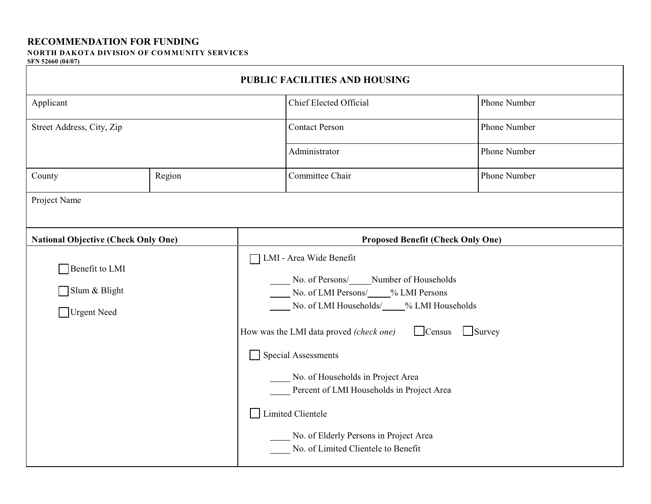## **RECOMMENDATION FOR FUNDING**

## **NORTH DAKOTA DIVISION OF COMMUNITY SERVICES**

## **SFN 52660 (04/07)**

| PUBLIC FACILITIES AND HOUSING                  |        |                                                                                                                                                                                                                                                                                                                                                                                                                                        |                               |              |  |  |  |  |  |  |
|------------------------------------------------|--------|----------------------------------------------------------------------------------------------------------------------------------------------------------------------------------------------------------------------------------------------------------------------------------------------------------------------------------------------------------------------------------------------------------------------------------------|-------------------------------|--------------|--|--|--|--|--|--|
| Applicant                                      |        |                                                                                                                                                                                                                                                                                                                                                                                                                                        | <b>Chief Elected Official</b> | Phone Number |  |  |  |  |  |  |
| Street Address, City, Zip                      |        |                                                                                                                                                                                                                                                                                                                                                                                                                                        | <b>Contact Person</b>         | Phone Number |  |  |  |  |  |  |
|                                                |        |                                                                                                                                                                                                                                                                                                                                                                                                                                        | Administrator                 | Phone Number |  |  |  |  |  |  |
| County                                         | Region |                                                                                                                                                                                                                                                                                                                                                                                                                                        | Committee Chair               | Phone Number |  |  |  |  |  |  |
| Project Name                                   |        |                                                                                                                                                                                                                                                                                                                                                                                                                                        |                               |              |  |  |  |  |  |  |
| <b>National Objective (Check Only One)</b>     |        | <b>Proposed Benefit (Check Only One)</b>                                                                                                                                                                                                                                                                                                                                                                                               |                               |              |  |  |  |  |  |  |
| Benefit to LMI<br>Slum & Blight<br>Urgent Need |        | LMI - Area Wide Benefit<br>No. of Persons/ <b>Number of Households</b><br>No. of LMI Persons/2009/6 LMI Persons<br>No. of LMI Households/ 9% LMI Households<br>Census Survey<br>How was the LMI data proved (check one)<br>Special Assessments<br>No. of Households in Project Area<br>Percent of LMI Households in Project Area<br>Limited Clientele<br>No. of Elderly Persons in Project Area<br>No. of Limited Clientele to Benefit |                               |              |  |  |  |  |  |  |